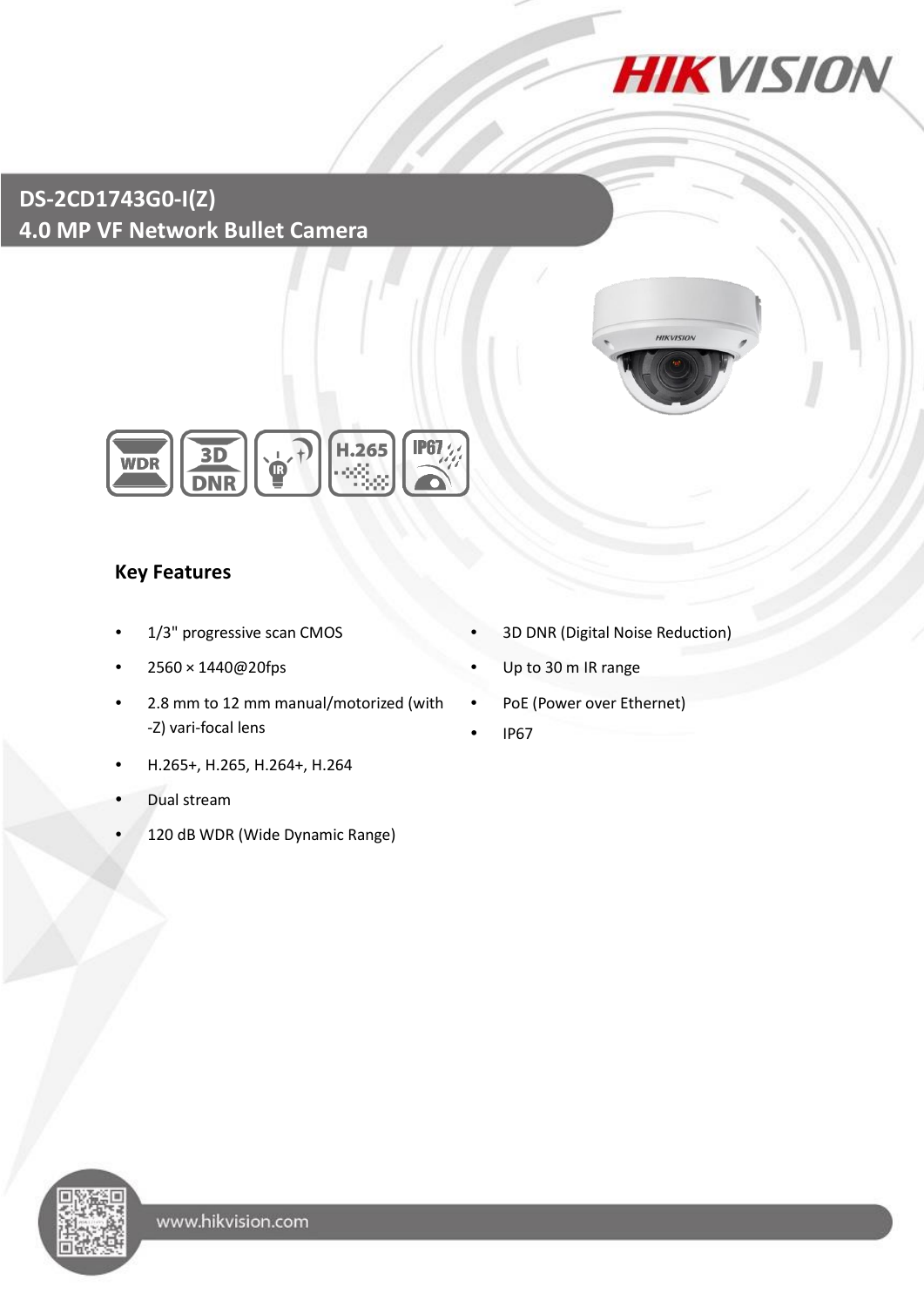

**DS-2CD1743G0-I(Z) 4.0 MP VF Network Bullet Camera**





## **Key Features**

- 
- 
- 2.8 mm to 12 mm manual/motorized (with -Z) vari-focal lens
- H.265+, H.265, H.264+, H.264
- Dual stream
- 120 dB WDR (Wide Dynamic Range)
- 1/3" progressive scan CMOS **•** 3D DNR (Digital Noise Reduction)
- 2560 × 1440@20fps Up to 30 m IR range
	- PoE (Power over Ethernet)
	- IP67

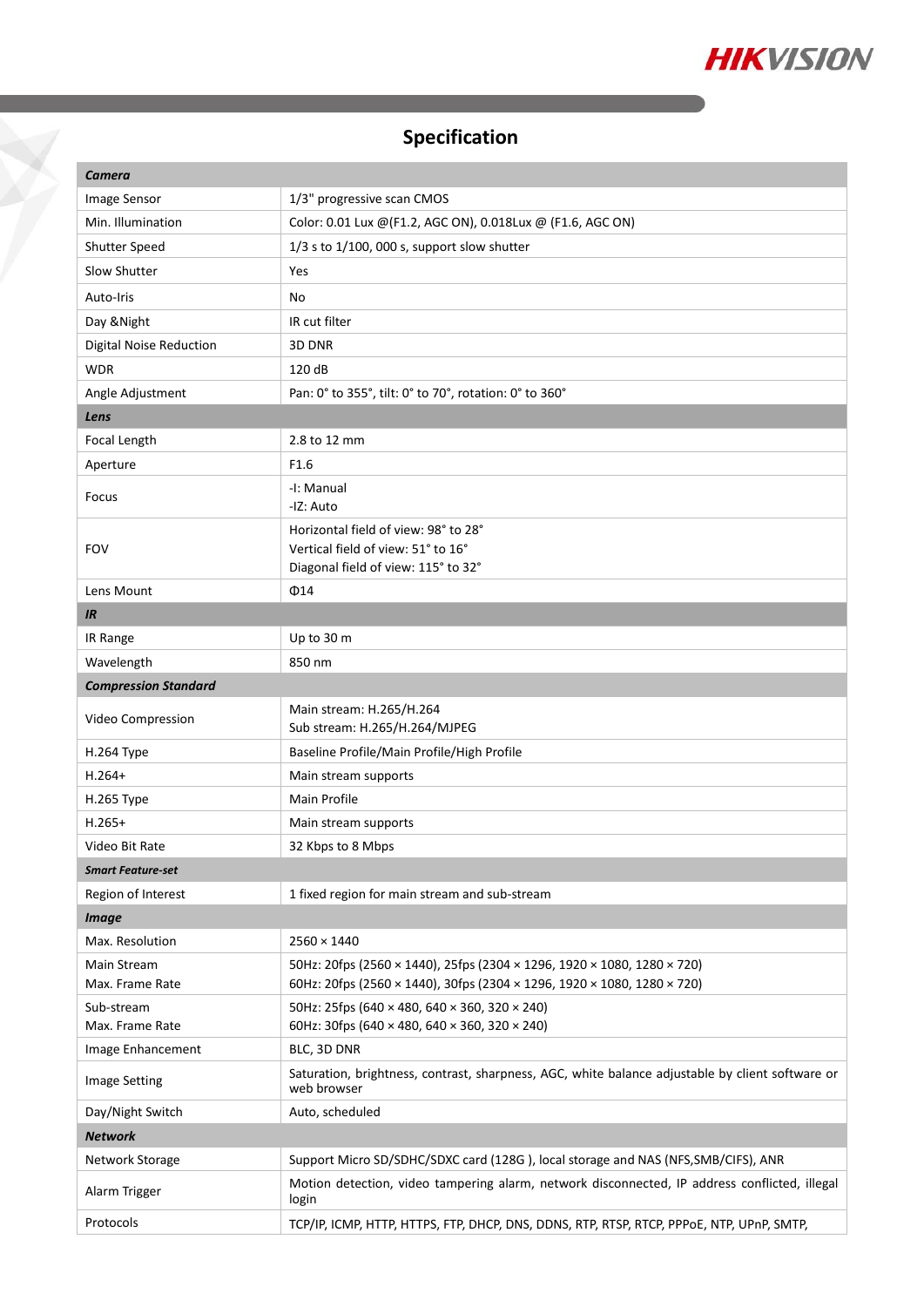

# **Specification**

Ž

| Camera                        |                                                                                                                 |  |
|-------------------------------|-----------------------------------------------------------------------------------------------------------------|--|
| Image Sensor                  | 1/3" progressive scan CMOS                                                                                      |  |
| Min. Illumination             | Color: 0.01 Lux @(F1.2, AGC ON), 0.018Lux @ (F1.6, AGC ON)                                                      |  |
| Shutter Speed                 | $1/3$ s to $1/100$ , 000 s, support slow shutter                                                                |  |
| Slow Shutter                  | Yes                                                                                                             |  |
| Auto-Iris                     | No                                                                                                              |  |
| Day & Night                   | IR cut filter                                                                                                   |  |
| Digital Noise Reduction       | 3D DNR                                                                                                          |  |
| <b>WDR</b>                    | 120 dB                                                                                                          |  |
| Angle Adjustment              | Pan: 0° to 355°, tilt: 0° to 70°, rotation: 0° to 360°                                                          |  |
| Lens                          |                                                                                                                 |  |
| Focal Length                  | 2.8 to 12 mm                                                                                                    |  |
| Aperture                      | F <sub>1.6</sub>                                                                                                |  |
| Focus                         | -I: Manual<br>-IZ: Auto                                                                                         |  |
|                               | Horizontal field of view: 98° to 28°                                                                            |  |
| <b>FOV</b>                    | Vertical field of view: 51° to 16°                                                                              |  |
|                               | Diagonal field of view: 115° to 32°                                                                             |  |
| Lens Mount                    | $\Phi$ 14                                                                                                       |  |
| <b>IR</b>                     |                                                                                                                 |  |
| IR Range                      | Up to 30 m                                                                                                      |  |
| Wavelength                    | 850 nm                                                                                                          |  |
| <b>Compression Standard</b>   |                                                                                                                 |  |
| Video Compression             | Main stream: H.265/H.264<br>Sub stream: H.265/H.264/MJPEG                                                       |  |
| H.264 Type                    | Baseline Profile/Main Profile/High Profile                                                                      |  |
| $H.264+$                      | Main stream supports                                                                                            |  |
| H.265 Type                    | Main Profile                                                                                                    |  |
| $H.265+$                      | Main stream supports                                                                                            |  |
| Video Bit Rate                | 32 Kbps to 8 Mbps                                                                                               |  |
| <b>Smart Feature-set</b>      |                                                                                                                 |  |
| Region of Interest            | 1 fixed region for main stream and sub-stream                                                                   |  |
| <b>Image</b>                  |                                                                                                                 |  |
| Max. Resolution               | $2560 \times 1440$                                                                                              |  |
| Main Stream                   | 50Hz: 20fps (2560 × 1440), 25fps (2304 × 1296, 1920 × 1080, 1280 × 720)                                         |  |
| Max. Frame Rate               | 60Hz: 20fps (2560 × 1440), 30fps (2304 × 1296, 1920 × 1080, 1280 × 720)                                         |  |
| Sub-stream<br>Max. Frame Rate | 50Hz: 25fps (640 × 480, 640 × 360, 320 × 240)<br>60Hz: 30fps (640 × 480, 640 × 360, 320 × 240)                  |  |
| Image Enhancement             | BLC, 3D DNR                                                                                                     |  |
| <b>Image Setting</b>          | Saturation, brightness, contrast, sharpness, AGC, white balance adjustable by client software or<br>web browser |  |
| Day/Night Switch              | Auto, scheduled                                                                                                 |  |
| <b>Network</b>                |                                                                                                                 |  |
| Network Storage               | Support Micro SD/SDHC/SDXC card (128G), local storage and NAS (NFS, SMB/CIFS), ANR                              |  |
| Alarm Trigger                 | Motion detection, video tampering alarm, network disconnected, IP address conflicted, illegal<br>login          |  |
| Protocols                     | TCP/IP, ICMP, HTTP, HTTPS, FTP, DHCP, DNS, DDNS, RTP, RTSP, RTCP, PPPOE, NTP, UPnP, SMTP,                       |  |
|                               |                                                                                                                 |  |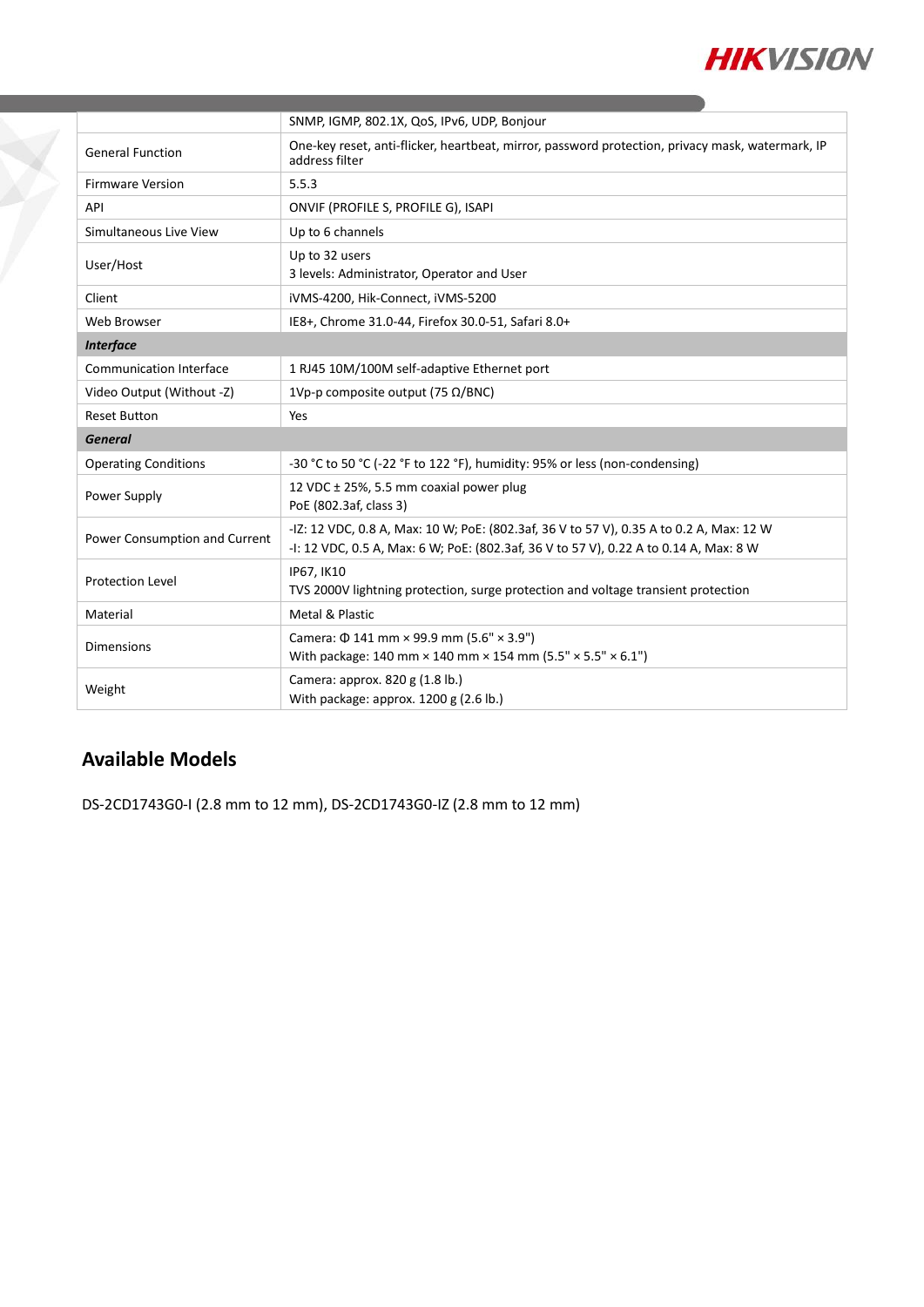

|                                | SNMP, IGMP, 802.1X, QoS, IPv6, UDP, Bonjour                                                                                                                                      |  |
|--------------------------------|----------------------------------------------------------------------------------------------------------------------------------------------------------------------------------|--|
| <b>General Function</b>        | One-key reset, anti-flicker, heartbeat, mirror, password protection, privacy mask, watermark, IP<br>address filter                                                               |  |
| <b>Firmware Version</b>        | 5.5.3                                                                                                                                                                            |  |
| API                            | ONVIF (PROFILE S, PROFILE G), ISAPI                                                                                                                                              |  |
| Simultaneous Live View         | Up to 6 channels                                                                                                                                                                 |  |
| User/Host                      | Up to 32 users<br>3 levels: Administrator, Operator and User                                                                                                                     |  |
| Client                         | iVMS-4200, Hik-Connect, iVMS-5200                                                                                                                                                |  |
| Web Browser                    | IE8+, Chrome 31.0-44, Firefox 30.0-51, Safari 8.0+                                                                                                                               |  |
| <b>Interface</b>               |                                                                                                                                                                                  |  |
| <b>Communication Interface</b> | 1 RJ45 10M/100M self-adaptive Ethernet port                                                                                                                                      |  |
| Video Output (Without -Z)      | 1Vp-p composite output (75 $\Omega$ /BNC)                                                                                                                                        |  |
| <b>Reset Button</b>            | Yes                                                                                                                                                                              |  |
| <b>General</b>                 |                                                                                                                                                                                  |  |
| <b>Operating Conditions</b>    | -30 °C to 50 °C (-22 °F to 122 °F), humidity: 95% or less (non-condensing)                                                                                                       |  |
| Power Supply                   | 12 VDC ± 25%, 5.5 mm coaxial power plug<br>PoE (802.3af, class 3)                                                                                                                |  |
| Power Consumption and Current  | -IZ: 12 VDC, 0.8 A, Max: 10 W; PoE: (802.3af, 36 V to 57 V), 0.35 A to 0.2 A, Max: 12 W<br>-I: 12 VDC, 0.5 A, Max: 6 W; PoE: (802.3af, 36 V to 57 V), 0.22 A to 0.14 A, Max: 8 W |  |
| <b>Protection Level</b>        | IP67, IK10<br>TVS 2000V lightning protection, surge protection and voltage transient protection                                                                                  |  |
| Material                       | Metal & Plastic                                                                                                                                                                  |  |
| <b>Dimensions</b>              | Camera: Φ 141 mm × 99.9 mm (5.6" × 3.9")<br>With package: 140 mm $\times$ 140 mm $\times$ 154 mm (5.5" $\times$ 5.5" $\times$ 6.1")                                              |  |
| Weight                         | Camera: approx. 820 g (1.8 lb.)<br>With package: approx. 1200 g (2.6 lb.)                                                                                                        |  |

## **Available Models**

Ý

DS-2CD1743G0-I (2.8 mm to 12 mm), DS-2CD1743G0-IZ (2.8 mm to 12 mm)